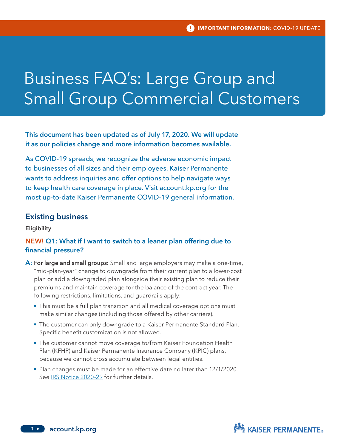# Business FAQ's: Large Group and Small Group Commercial Customers

# This document has been updated as of July 17, 2020. We will update it as our policies change and more information becomes available.

As COVID-19 spreads, we recognize the adverse economic impact to businesses of all sizes and their employees. Kaiser Permanente wants to address inquiries and offer options to help navigate ways to keep health care coverage in place. Visit account.kp.org for the most up-to-date Kaiser Permanente COVID-19 general information.

#### Existing business

**Eligibility** 

# NEW! Q1: What if I want to switch to a leaner plan offering due to financial pressure?

- A: For large and small groups: Small and large employers may make a one-time, "mid–plan-year" change to downgrade from their current plan to a lower-cost plan or add a downgraded plan alongside their existing plan to reduce their premiums and maintain coverage for the balance of the contract year. The following restrictions, limitations, and guardrails apply:
	- This must be a full plan transition and all medical coverage options must make similar changes (including those offered by other carriers).
	- The customer can only downgrade to a Kaiser Permanente Standard Plan. Specific benefit customization is not allowed.
	- The customer cannot move coverage to/from Kaiser Foundation Health Plan (KFHP) and Kaiser Permanente Insurance Company (KPIC) plans, because we cannot cross accumulate between legal entities.
	- Plan changes must be made for an effective date no later than 12/1/2020. See IRS Notice 2020-29 for further details.

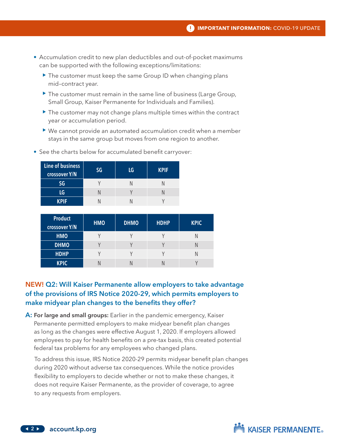- Accumulation credit to new plan deductibles and out-of-pocket maximums can be supported with the following exceptions/limitations:
	- $\triangleright$  The customer must keep the same Group ID when changing plans mid–contract year.
	- $\blacktriangleright$  The customer must remain in the same line of business (Large Group, Small Group, Kaiser Permanente for Individuals and Families).
	- $\triangleright$  The customer may not change plans multiple times within the contract year or accumulation period.
	- $\triangleright$  We cannot provide an automated accumulation credit when a member stays in the same group but moves from one region to another.

| Line of business<br>crossover Y/N | SG | LG | <b>KPIF</b> |
|-----------------------------------|----|----|-------------|
| SG                                |    |    |             |
| LG                                |    |    |             |
| KPIF                              |    |    |             |

• See the charts below for accumulated benefit carryover:

| <b>Product</b><br>crossover Y/N | <b>HMO</b> | <b>DHMO</b> | <b>HDHP</b> | <b>KPIC</b> |
|---------------------------------|------------|-------------|-------------|-------------|
| <b>HMO</b>                      |            |             |             |             |
| <b>DHMO</b>                     |            |             |             |             |
| <b>HDHP</b>                     |            |             |             |             |
| <b>KPIC</b>                     |            |             |             |             |

# NEW! Q2: Will Kaiser Permanente allow employers to take advantage of the provisions of IRS Notice 2020-29, which permits employers to make midyear plan changes to the benefits they offer?

A: For large and small groups: Earlier in the pandemic emergency, Kaiser Permanente permitted employers to make midyear benefit plan changes as long as the changes were effective August 1, 2020. If employers allowed employees to pay for health benefits on a pre-tax basis, this created potential federal tax problems for any employees who changed plans.

To address this issue, IRS Notice 2020-29 permits midyear benefit plan changes during 2020 without adverse tax consequences. While the notice provides flexibility to employers to decide whether or not to make these changes, it does not require Kaiser Permanente, as the provider of coverage, to agree to any requests from employers.

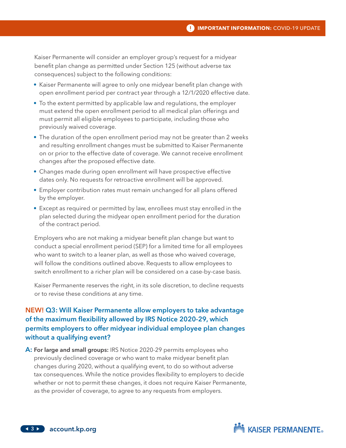#### **IMPORTANT INFORMATION: COVID-19 UPDATE**

Kaiser Permanente will consider an employer group's request for a midyear benefit plan change as permitted under Section 125 (without adverse tax consequences) subject to the following conditions:

- Kaiser Permanente will agree to only one midyear benefit plan change with open enrollment period per contract year through a 12/1/2020 effective date.
- To the extent permitted by applicable law and regulations, the employer must extend the open enrollment period to all medical plan offerings and must permit all eligible employees to participate, including those who previously waived coverage.
- The duration of the open enrollment period may not be greater than 2 weeks and resulting enrollment changes must be submitted to Kaiser Permanente on or prior to the effective date of coverage. We cannot receive enrollment changes after the proposed effective date.
- Changes made during open enrollment will have prospective effective dates only. No requests for retroactive enrollment will be approved.
- Employer contribution rates must remain unchanged for all plans offered by the employer.
- Except as required or permitted by law, enrollees must stay enrolled in the plan selected during the midyear open enrollment period for the duration of the contract period.

Employers who are not making a midyear benefit plan change but want to conduct a special enrollment period (SEP) for a limited time for all employees who want to switch to a leaner plan, as well as those who waived coverage, will follow the conditions outlined above. Requests to allow employees to switch enrollment to a richer plan will be considered on a case-by-case basis.

Kaiser Permanente reserves the right, in its sole discretion, to decline requests or to revise these conditions at any time.

# NEW! Q3: Will Kaiser Permanente allow employers to take advantage of the maximum flexibility allowed by IRS Notice 2020-29, which permits employers to offer midyear individual employee plan changes without a qualifying event?

**A: For large and small groups:** IRS Notice 2020-29 permits employees who previously declined coverage or who want to make midyear benefit plan changes during 2020, without a qualifying event, to do so without adverse tax consequences. While the notice provides flexibility to employers to decide whether or not to permit these changes, it does not require Kaiser Permanente, as the provider of coverage, to agree to any requests from employers.

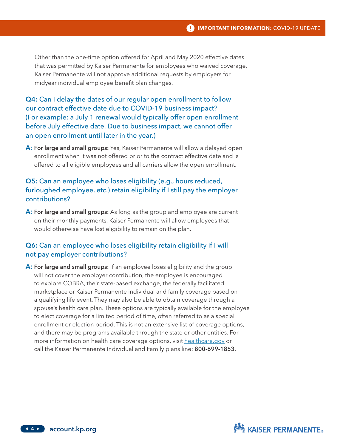#### **IMPORTANT INFORMATION:** COVID-19 UPDATE

Other than the one-time option offered for April and May 2020 effective dates that was permitted by Kaiser Permanente for employees who waived coverage, Kaiser Permanente will not approve additional requests by employers for midyear individual employee benefit plan changes.

Q4: Can I delay the dates of our regular open enrollment to follow our contract effective date due to COVID-19 business impact? (For example: a July 1 renewal would typically offer open enrollment before July effective date. Due to business impact, we cannot offer an open enrollment until later in the year.)

A: For large and small groups: Yes, Kaiser Permanente will allow a delayed open enrollment when it was not offered prior to the contract effective date and is offered to all eligible employees and all carriers allow the open enrollment.

# Q5: Can an employee who loses eligibility (e.g., hours reduced, furloughed employee, etc.) retain eligibility if I still pay the employer contributions?

A: For large and small groups: As long as the group and employee are current on their monthly payments, Kaiser Permanente will allow employees that would otherwise have lost eligibility to remain on the plan.

## Q6: Can an employee who loses eligibility retain eligibility if I will not pay employer contributions?

A: For large and small groups: If an employee loses eligibility and the group will not cover the employer contribution, the employee is encouraged to explore COBRA, their state-based exchange, the federally facilitated marketplace or Kaiser Permanente individual and family coverage based on a qualifying life event. They may also be able to obtain coverage through a spouse's health care plan. These options are typically available for the employee to elect coverage for a limited period of time, often referred to as a special enrollment or election period. This is not an extensive list of coverage options, and there may be programs available through the state or other entities. For more information on health care coverage options, visit healthcare.gov or call the Kaiser Permanente Individual and Family plans line: 800-699-1853.



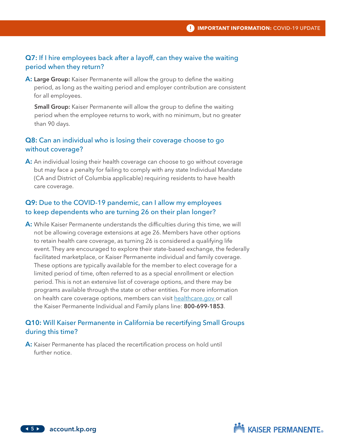## Q7: If I hire employees back after a layoff, can they waive the waiting period when they return?

A: Large Group: Kaiser Permanente will allow the group to define the waiting period, as long as the waiting period and employer contribution are consistent for all employees.

**Small Group:** Kaiser Permanente will allow the group to define the waiting period when the employee returns to work, with no minimum, but no greater than 90 days.

# Q8: Can an individual who is losing their coverage choose to go without coverage?

A: An individual losing their health coverage can choose to go without coverage but may face a penalty for failing to comply with any state Individual Mandate (CA and District of Columbia applicable) requiring residents to have health care coverage.

# Q9: Due to the COVID-19 pandemic, can I allow my employees to keep dependents who are turning 26 on their plan longer?

A: While Kaiser Permanente understands the difficulties during this time, we will not be allowing coverage extensions at age 26. Members have other options to retain health care coverage, as turning 26 is considered a qualifying life event. They are encouraged to explore their state-based exchange, the federally facilitated marketplace, or Kaiser Permanente individual and family coverage. These options are typically available for the member to elect coverage for a limited period of time, often referred to as a special enrollment or election period. This is not an extensive list of coverage options, and there may be programs available through the state or other entities. For more information on health care coverage options, members can visit healthcare.gov or call the Kaiser Permanente Individual and Family plans line: 800-699-1853.

## Q10: Will Kaiser Permanente in California be recertifying Small Groups during this time?

A: Kaiser Permanente has placed the recertification process on hold until further notice.

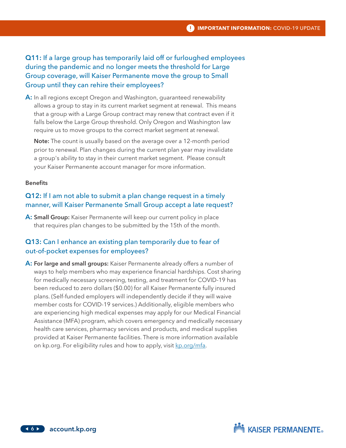Q11: If a large group has temporarily laid off or furloughed employees during the pandemic and no longer meets the threshold for Large Group coverage, will Kaiser Permanente move the group to Small Group until they can rehire their employees?

A: In all regions except Oregon and Washington, guaranteed renewability allows a group to stay in its current market segment at renewal. This means that a group with a Large Group contract may renew that contract even if it falls below the Large Group threshold. Only Oregon and Washington law require us to move groups to the correct market segment at renewal.

Note: The count is usually based on the average over a 12-month period prior to renewal. Plan changes during the current plan year may invalidate a group's ability to stay in their current market segment. Please consult your Kaiser Permanente account manager for more information.

#### **Benefits**

# Q12: If I am not able to submit a plan change request in a timely manner, will Kaiser Permanente Small Group accept a late request?

A: Small Group: Kaiser Permanente will keep our current policy in place that requires plan changes to be submitted by the 15th of the month.

# Q13: Can I enhance an existing plan temporarily due to fear of out-of-pocket expenses for employees?

A: For large and small groups: Kaiser Permanente already offers a number of ways to help members who may experience financial hardships. Cost sharing for medically necessary screening, testing, and treatment for COVID-19 has been reduced to zero dollars (\$0.00) for all Kaiser Permanente fully insured plans. (Self-funded employers will independently decide if they will waive member costs for COVID-19 services.) Additionally, eligible members who are experiencing high medical expenses may apply for our Medical Financial Assistance (MFA) program, which covers emergency and medically necessary health care services, pharmacy services and products, and medical supplies provided at Kaiser Permanente facilities. There is more information available on kp.org. For eligibility rules and how to apply, visit kp.org/mfa.

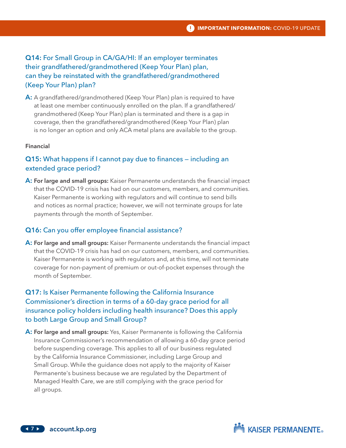# Q14: For Small Group in CA/GA/HI: If an employer terminates their grandfathered/grandmothered (Keep Your Plan) plan, can they be reinstated with the grandfathered/grandmothered (Keep Your Plan) plan?

A: A grandfathered/grandmothered (Keep Your Plan) plan is required to have at least one member continuously enrolled on the plan. If a grandfathered/ grandmothered (Keep Your Plan) plan is terminated and there is a gap in coverage, then the grandfathered/grandmothered (Keep Your Plan) plan is no longer an option and only ACA metal plans are available to the group.

#### Financial

#### Q15: What happens if I cannot pay due to finances — including an extended grace period?

A: For large and small groups: Kaiser Permanente understands the financial impact that the COVID-19 crisis has had on our customers, members, and communities. Kaiser Permanente is working with regulators and will continue to send bills and notices as normal practice; however, we will not terminate groups for late payments through the month of September.

#### Q16: Can you offer employee financial assistance?

A: For large and small groups: Kaiser Permanente understands the financial impact that the COVID-19 crisis has had on our customers, members, and communities. Kaiser Permanente is working with regulators and, at this time, will not terminate coverage for non-payment of premium or out-of-pocket expenses through the month of September.

# Q17: Is Kaiser Permanente following the California Insurance Commissioner's direction in terms of a 60-day grace period for all insurance policy holders including health insurance? Does this apply to both Large Group and Small Group?

A: For large and small groups: Yes, Kaiser Permanente is following the California Insurance Commissioner's recommendation of allowing a 60-day grace period before suspending coverage. This applies to all of our business regulated by the California Insurance Commissioner, including Large Group and Small Group. While the guidance does not apply to the majority of Kaiser Permanente's business because we are regulated by the Department of Managed Health Care, we are still complying with the grace period for all groups.

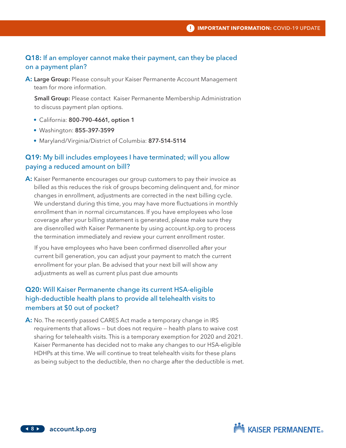#### Q18: If an employer cannot make their payment, can they be placed on a payment plan?

A: Large Group: Please consult your Kaiser Permanente Account Management team for more information.

**Small Group:** Please contact Kaiser Permanente Membership Administration to discuss payment plan options.

- California: 800-790-4661, option 1
- Washington: 855-397-3599
- Maryland/Virginia/District of Columbia: 877-514-5114

#### Q19: My bill includes employees I have terminated; will you allow paying a reduced amount on bill?

A: Kaiser Permanente encourages our group customers to pay their invoice as billed as this reduces the risk of groups becoming delinquent and, for minor changes in enrollment, adjustments are corrected in the next billing cycle. We understand during this time, you may have more fluctuations in monthly enrollment than in normal circumstances. If you have employees who lose coverage after your billing statement is generated, please make sure they are disenrolled with Kaiser Permanente by using account.kp.org to process the termination immediately and review your current enrollment roster.

If you have employees who have been confirmed disenrolled after your current bill generation, you can adjust your payment to match the current enrollment for your plan. Be advised that your next bill will show any adjustments as well as current plus past due amounts

# Q20: Will Kaiser Permanente change its current HSA-eligible high-deductible health plans to provide all telehealth visits to members at \$0 out of pocket?

A: No. The recently passed CARES Act made a temporary change in IRS requirements that allows — but does not require — health plans to waive cost sharing for telehealth visits. This is a temporary exemption for 2020 and 2021. Kaiser Permanente has decided not to make any changes to our HSA-eligible HDHPs at this time. We will continue to treat telehealth visits for these plans as being subject to the deductible, then no charge after the deductible is met.

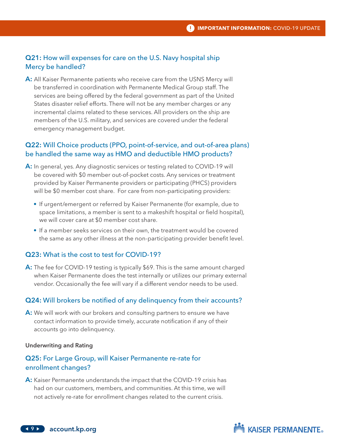## Q21: How will expenses for care on the U.S. Navy hospital ship Mercy be handled?

A: All Kaiser Permanente patients who receive care from the USNS Mercy will be transferred in coordination with Permanente Medical Group staff. The services are being offered by the federal government as part of the United States disaster relief efforts. There will not be any member charges or any incremental claims related to these services. All providers on the ship are members of the U.S. military, and services are covered under the federal emergency management budget.

## Q22: Will Choice products (PPO, point-of-service, and out-of-area plans) be handled the same way as HMO and deductible HMO products?

- A: In general, yes. Any diagnostic services or testing related to COVID-19 will be covered with \$0 member out-of-pocket costs. Any services or treatment provided by Kaiser Permanente providers or participating (PHCS) providers will be \$0 member cost share. For care from non-participating providers:
	- If urgent/emergent or referred by Kaiser Permanente (for example, due to space limitations, a member is sent to a makeshift hospital or field hospital), we will cover care at \$0 member cost share.
	- If a member seeks services on their own, the treatment would be covered the same as any other illness at the non-participating provider benefit level.

## Q23: What is the cost to test for COVID-19?

A: The fee for COVID-19 testing is typically \$69. This is the same amount charged when Kaiser Permanente does the test internally or utilizes our primary external vendor. Occasionally the fee will vary if a different vendor needs to be used.

#### Q24: Will brokers be notified of any delinquency from their accounts?

A: We will work with our brokers and consulting partners to ensure we have contact information to provide timely, accurate notification if any of their accounts go into delinquency.

#### Underwriting and Rating

## Q25: For Large Group, will Kaiser Permanente re-rate for enrollment changes?

A: Kaiser Permanente understands the impact that the COVID-19 crisis has had on our customers, members, and communities. At this time, we will not actively re-rate for enrollment changes related to the current crisis.

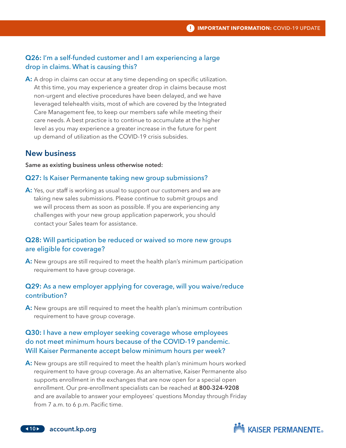# Q26: I'm a self-funded customer and I am experiencing a large drop in claims. What is causing this?

A: A drop in claims can occur at any time depending on specific utilization. At this time, you may experience a greater drop in claims because most non-urgent and elective procedures have been delayed, and we have leveraged telehealth visits, most of which are covered by the Integrated Care Management fee, to keep our members safe while meeting their care needs. A best practice is to continue to accumulate at the higher level as you may experience a greater increase in the future for pent up demand of utilization as the COVID-19 crisis subsides.

# New business

Same as existing business unless otherwise noted:

#### Q27: Is Kaiser Permanente taking new group submissions?

A: Yes, our staff is working as usual to support our customers and we are taking new sales submissions. Please continue to submit groups and we will process them as soon as possible. If you are experiencing any challenges with your new group application paperwork, you should contact your Sales team for assistance.

# Q28: Will participation be reduced or waived so more new groups are eligible for coverage?

A: New groups are still required to meet the health plan's minimum participation requirement to have group coverage.

## Q29: As a new employer applying for coverage, will you waive/reduce contribution?

A: New groups are still required to meet the health plan's minimum contribution requirement to have group coverage.

# Q30: I have a new employer seeking coverage whose employees do not meet minimum hours because of the COVID-19 pandemic. Will Kaiser Permanente accept below minimum hours per week?

A: New groups are still required to meet the health plan's minimum hours worked requirement to have group coverage. As an alternative, Kaiser Permanente also supports enrollment in the exchanges that are now open for a special open enrollment. Our pre-enrollment specialists can be reached at 800-324-9208 and are available to answer your employees' questions Monday through Friday from 7 a.m. to 6 p.m. Pacific time.